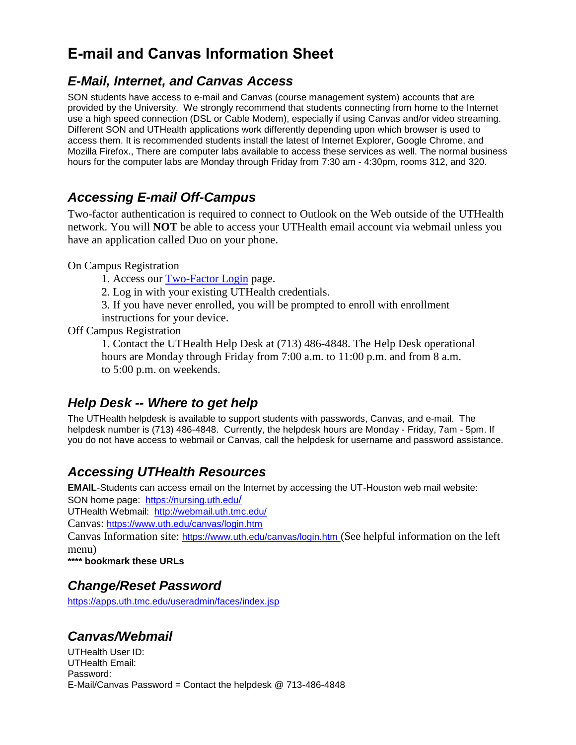# **E-mail and Canvas Information Sheet**

### *E-Mail, Internet, and Canvas Access*

SON students have access to e-mail and Canvas (course management system) accounts that are provided by the University. We strongly recommend that students connecting from home to the Internet use a high speed connection (DSL or Cable Modem), especially if using Canvas and/or video streaming. Different SON and UTHealth applications work differently depending upon which browser is used to access them. It is recommended students install the latest of Internet Explorer, Google Chrome, and Mozilla Firefox., There are computer labs available to access these services as well. The normal business hours for the computer labs are Monday through Friday from 7:30 am - 4:30pm, rooms 312, and 320.

## *Accessing E-mail Off-Campus*

Two-factor authentication is required to connect to Outlook on the Web outside of the UTHealth network. You will **NOT** be able to access your UTHealth email account via webmail unless you have an application called Duo on your phone.

#### On Campus Registration

- 1. Access our **Two-Factor Login** page.
- 2. Log in with your existing UTHealth credentials.
- 3. If you have never enrolled, you will be prompted to enroll with enrollment
- instructions for your device.

#### Off Campus Registration

1. Contact the UTHealth Help Desk at (713) 486-4848. The Help Desk operational hours are Monday through Friday from 7:00 a.m. to 11:00 p.m. and from 8 a.m. to 5:00 p.m. on weekends.

## *Help Desk -- Where to get help*

The UTHealth helpdesk is available to support students with passwords, Canvas, and e-mail. The helpdesk number is (713) 486-4848. Currently, the helpdesk hours are Monday - Friday, 7am - 5pm. If you do not have access to webmail or Canvas, call the helpdesk for username and password assistance.

## *Accessing UTHealth Resources*

**EMAIL**-Students can access email on the Internet by accessing the UT-Houston web mail website:

SON home page: [https://nursing.uth.edu](https://nursing.uth.edu/)/

UTHealth Webmail: <http://webmail.uth.tmc.edu/>

Canvas: <https://www.uth.edu/canvas/login.htm>

Canvas Information site: <https://www.uth.edu/canvas/login.htm> (See helpful information on the left menu)

**\*\*\*\* bookmark these URLs**

### *Change/Reset Password*

https://apps.uth.tmc.edu/useradmin/faces/index.isp

## *Canvas/Webmail*

UTHealth User ID: UTHealth Email: Password: E-Mail/Canvas Password = Contact the helpdesk @ 713-486-4848